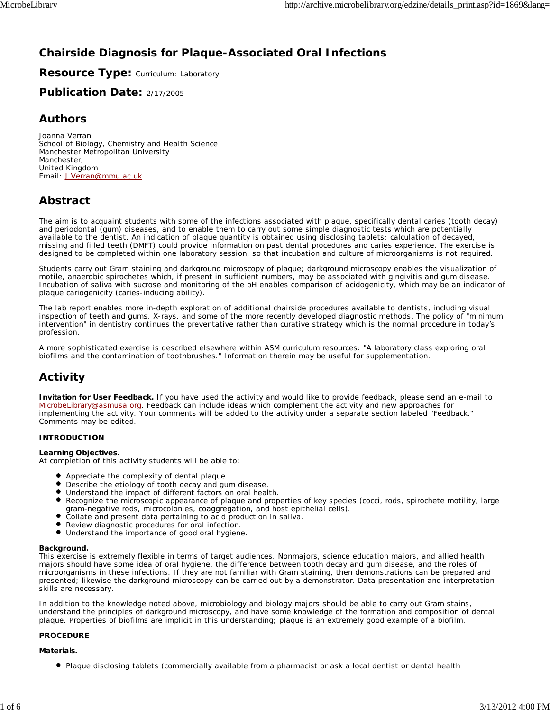# **Chairside Diagnosis for Plaque-Associated Oral Infections**

**Resource Type: Curriculum: Laboratory** 

# **Publication Date:** 2/17/2005

# **Authors**

*Joanna Verran* School of Biology, Chemistry and Health Science Manchester Metropolitan University Manchester, United Kingdom Email: J.Verran@mmu.ac.uk

# **Abstract**

The aim is to acquaint students with some of the infections associated with plaque, specifically dental caries (tooth decay) and periodontal (gum) diseases, and to enable them to carry out some simple diagnostic tests which are potentially available to the dentist. An indication of plaque quantity is obtained using disclosing tablets; calculation of decayed, missing and filled teeth (DMFT) could provide information on past dental procedures and caries experience. The exercise is designed to be completed within one laboratory session, so that incubation and culture of microorganisms is not required.

Students carry out Gram staining and darkground microscopy of plaque; darkground microscopy enables the visualization of motile, anaerobic spirochetes which, if present in sufficient numbers, may be associated with gingivitis and gum disease. Incubation of saliva with sucrose and monitoring of the pH enables comparison of acidogenicity, which may be an indicator of plaque cariogenicity (caries-inducing ability).

The lab report enables more in-depth exploration of additional chairside procedures available to dentists, including visual inspection of teeth and gums, X-rays, and some of the more recently developed diagnostic methods. The policy of "minimum intervention" in dentistry continues the preventative rather than curative strategy which is the normal procedure in today's profession.

A more sophisticated exercise is described elsewhere within ASM curriculum resources: "A laboratory class exploring oral biofilms and the contamination of toothbrushes." Information therein may be useful for supplementation.

# **Activity**

**Invitation for User Feedback.** If you have used the activity and would like to provide feedback, please send an e-mail to MicrobeLibrary@asmusa.org. Feedback can include ideas which complement the activity and new approaches for implementing the activity. Your comments will be added to the activity under a separate section labeled "Feedback." Comments may be edited.

## **INTRODUCTION**

## **Learning Objectives.**

At completion of this activity students will be able to:

- Appreciate the complexity of dental plaque.
- $\bullet$ Describe the etiology of tooth decay and gum disease.
- Understand the impact of different factors on oral health.
- Recognize the microscopic appearance of plaque and properties of key species (cocci, rods, spirochete motility, large gram-negative rods, microcolonies, coaggregation, and host epithelial cells).
- Collate and present data pertaining to acid production in saliva.
- Review diagnostic procedures for oral infection.
- $\bullet$ Understand the importance of good oral hygiene.

#### **Background.**

This exercise is extremely flexible in terms of target audiences. Nonmajors, science education majors, and allied health majors should have some idea of oral hygiene, the difference between tooth decay and gum disease, and the roles of microorganisms in these infections. If they are not familiar with Gram staining, then demonstrations can be prepared and presented; likewise the darkground microscopy can be carried out by a demonstrator. Data presentation and interpretation skills are necessary.

In addition to the knowledge noted above, microbiology and biology majors should be able to carry out Gram stains, understand the principles of darkground microscopy, and have some knowledge of the formation and composition of dental plaque. Properties of biofilms are implicit in this understanding; plaque is an extremely good example of a biofilm.

#### **PROCEDURE**

#### **Materials.**

Plaque disclosing tablets (commercially available from a pharmacist or ask a local dentist or dental health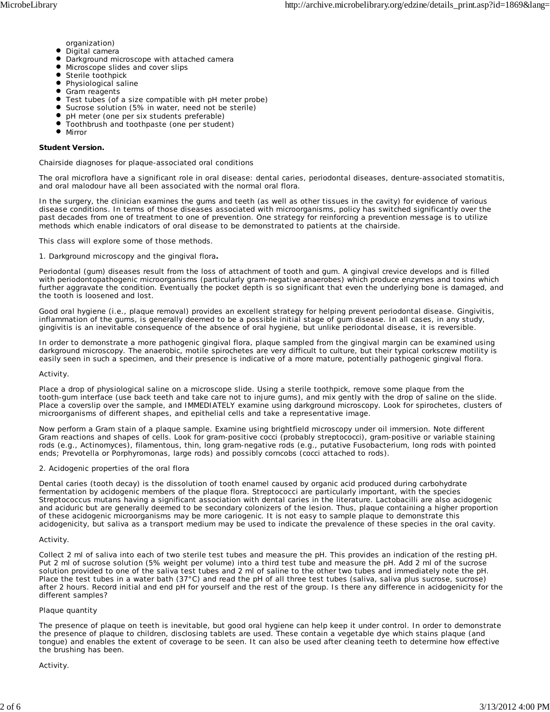- organization)
- $\bullet$ Digital camera
- $\bullet$ Darkground microscope with attached camera
- $\bullet$ Microscope slides and cover slips
- $\bullet$ Sterile toothpick
- Physiological saline
- $\bullet$ Gram reagents
- Test tubes (of a size compatible with pH meter probe)
- Sucrose solution (5% in water, need not be sterile)
- pH meter (one per six students preferable)
- Toothbrush and toothpaste (one per student)
- $\bullet$ Mirror

#### **Student Version.**

#### *Chairside diagnoses for plaque-associated oral conditions*

The oral microflora have a significant role in oral disease: dental caries, periodontal diseases, denture-associated stomatitis, and oral malodour have all been associated with the normal oral flora.

In the surgery, the clinician examines the gums and teeth (as well as other tissues in the cavity) for evidence of various disease conditions. In terms of those diseases associated with microorganisms, policy has switched significantly over the past decades from one of treatment to one of prevention. One strategy for reinforcing a prevention message is to utilize methods which enable indicators of oral disease to be demonstrated to patients at the chairside.

This class will explore some of those methods.

#### *1. Darkground microscopy and the gingival flora***.**

Periodontal (gum) diseases result from the loss of attachment of tooth and gum. A gingival crevice develops and is filled with periodontopathogenic microorganisms (particularly gram-negative anaerobes) which produce enzymes and toxins which further aggravate the condition. Eventually the pocket depth is so significant that even the underlying bone is damaged, and the tooth is loosened and lost.

Good oral hygiene (i.e., plaque removal) provides an excellent strategy for helping prevent periodontal disease. Gingivitis, inflammation of the gums, is generally deemed to be a possible initial stage of gum disease. In all cases, in any study, gingivitis is an inevitable consequence of the absence of oral hygiene, but unlike periodontal disease, it is reversible.

In order to demonstrate a more pathogenic gingival flora, plaque sampled from the gingival margin can be examined using darkground microscopy. The anaerobic, motile spirochetes are very difficult to culture, but their typical corkscrew motility is easily seen in such a specimen, and their presence is indicative of a more mature, potentially pathogenic gingival flora.

#### *Activity.*

Place a drop of physiological saline on a microscope slide. Using a sterile toothpick, remove some plaque from the tooth-gum interface (use back teeth and take care not to injure gums), and mix gently with the drop of saline on the slide. Place a coverslip over the sample, and IMMEDIATELY examine using darkground microscopy. Look for spirochetes, clusters of microorganisms of different shapes, and epithelial cells and take a representative image.

Now perform a Gram stain of a plaque sample. Examine using brightfield microscopy under oil immersion. Note different Gram reactions and shapes of cells. Look for gram-positive cocci (probably streptococci), gram-positive or variable staining rods (e.g., *Actinomyces*), filamentous, thin, long gram-negative rods (e.g., putative *Fusobacterium*, long rods with pointed ends; *Prevotella* or *Porphyromonas*, large rods) and possibly corncobs (cocci attached to rods).

#### *2. Acidogenic properties of the oral flora*

Dental caries (tooth decay) is the dissolution of tooth enamel caused by organic acid produced during carbohydrate fermentation by acidogenic members of the plaque flora. *Streptococci* are particularly important, with the species *Streptococcus mutans* having a significant association with dental caries in the literature. *Lactobacilli* are also acidogenic and aciduric but are generally deemed to be secondary colonizers of the lesion. Thus, plaque containing a higher proportion of these acidogenic microorganisms may be more cariogenic. It is not easy to sample plaque to demonstrate this acidogenicity, but saliva as a transport medium may be used to indicate the prevalence of these species in the oral cavity.

#### *Activity.*

Collect 2 ml of saliva into each of two sterile test tubes and measure the pH. This provides an indication of the resting pH. Put 2 ml of sucrose solution (5% weight per volume) into a third test tube and measure the pH. Add 2 ml of the sucrose solution provided to one of the saliva test tubes and 2 ml of saline to the other two tubes and immediately note the pH. Place the test tubes in a water bath (37°C) and read the pH of all three test tubes (saliva, saliva plus sucrose, sucrose) after 2 hours. Record initial and end pH for yourself and the rest of the group. Is there any difference in acidogenicity for the different samples?

#### *Plaque quantity*

The presence of plaque on teeth is inevitable, but good oral hygiene can help keep it under control. In order to demonstrate the presence of plaque to children, disclosing tablets are used. These contain a vegetable dye which stains plaque (and tongue) and enables the extent of coverage to be seen. It can also be used after cleaning teeth to determine how effective the brushing has been.

#### *Activity.*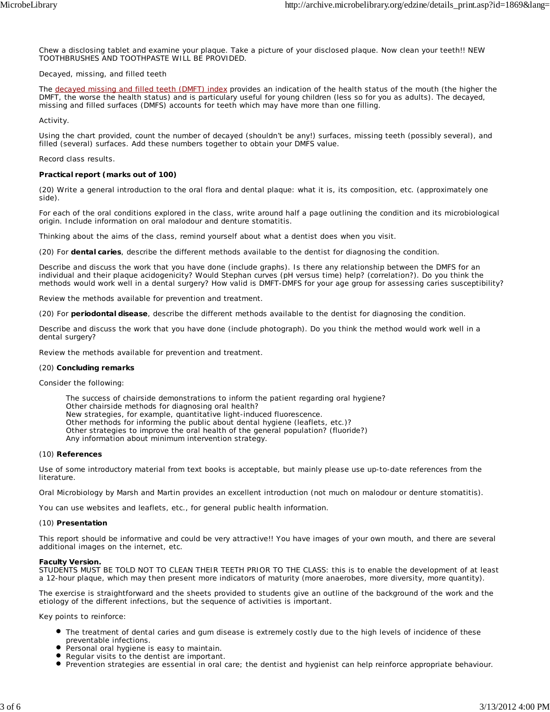Chew a disclosing tablet and examine your plaque. Take a picture of your disclosed plaque. Now clean your teeth!! NEW TOOTHBRUSHES AND TOOTHPASTE WILL BE PROVIDED.

#### *Decayed, missing, and filled teeth*

The decayed missing and filled teeth (DMFT) index provides an indication of the health status of the mouth (the higher the DMFT, the worse the health status) and is particulary useful for young children (less so for you as adults). The decayed, missing and filled surfaces (DMFS) accounts for teeth which may have more than one filling.

#### *Activity.*

Using the chart provided, count the number of decayed (shouldn't be any!) surfaces, missing teeth (possibly several), and filled (several) surfaces. Add these numbers together to obtain your DMFS value.

#### Record class results.

### **Practical report (marks out of 100)**

(20) Write a general introduction to the oral flora and dental plaque: what it is, its composition, etc. (approximately one side).

For each of the oral conditions explored in the class, write around half a page outlining the condition and its microbiological origin. Include information on oral malodour and denture stomatitis.

Thinking about the aims of the class, remind yourself about what a dentist does when you visit.

(20) For **dental caries**, describe the different methods available to the dentist for diagnosing the condition.

Describe and discuss the work that you have done (include graphs). Is there any relationship between the DMFS for an individual and their plaque acidogenicity? Would Stephan curves (pH versus time) help? (correlation?). Do you think the methods would work well in a dental surgery? How valid is DMFT-DMFS for your age group for assessing caries susceptibility?

Review the methods available for prevention and treatment.

(20) For **periodontal disease**, describe the different methods available to the dentist for diagnosing the condition.

Describe and discuss the work that you have done (include photograph). Do you think the method would work well in a dental surgery?

Review the methods available for prevention and treatment.

#### (20) **Concluding remarks**

Consider the following:

The success of chairside demonstrations to inform the patient regarding oral hygiene? Other chairside methods for diagnosing oral health? New strategies, for example, quantitative light-induced fluorescence. Other methods for informing the public about dental hygiene (leaflets, etc.)? Other strategies to improve the oral health of the general population? (fluoride?) Any information about minimum intervention strategy.

#### (10) **References**

Use of some introductory material from text books is acceptable, but mainly please use up-to-date references from the literature.

*Oral Microbiology* by Marsh and Martin provides an excellent introduction (not much on malodour or denture stomatitis).

You can use websites and leaflets, etc., for general public health information.

#### (10) **Presentation**

This report should be informative and could be very attractive!! You have images of your own mouth, and there are several additional images on the internet, etc.

#### **Faculty Version.**

STUDENTS MUST BE TOLD NOT TO CLEAN THEIR TEETH PRIOR TO THE CLASS: this is to enable the development of at least a 12-hour plaque, which may then present more indicators of maturity (more anaerobes, more diversity, more quantity).

The exercise is straightforward and the sheets provided to students give an outline of the background of the work and the etiology of the different infections, but the sequence of activities is important.

*Key points to reinforce*:

- The treatment of dental caries and gum disease is extremely costly due to the high levels of incidence of these preventable infections.
- **P** Personal oral hygiene is easy to maintain.
- Regular visits to the dentist are important.
- Prevention strategies are essential in oral care; the dentist and hygienist can help reinforce appropriate behaviour.  $\bullet$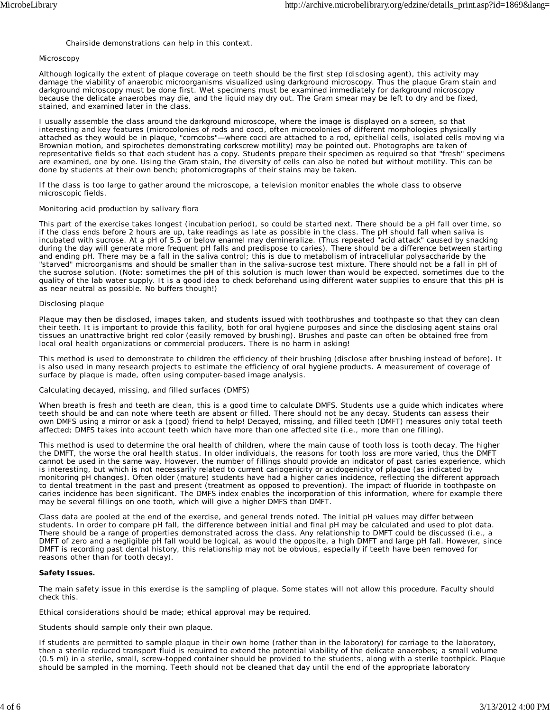#### Chairside demonstrations can help in this context.

#### *Microscopy*

Although logically the extent of plaque coverage on teeth should be the first step (disclosing agent), this activity may damage the viability of anaerobic microorganisms visualized using darkground microscopy. Thus the plaque Gram stain and darkground microscopy must be done first. Wet specimens must be examined immediately for darkground microscopy because the delicate anaerobes may die, and the liquid may dry out. The Gram smear may be left to dry and be fixed, stained, and examined later in the class.

I usually assemble the class around the darkground microscope, where the image is displayed on a screen, so that interesting and key features (microcolonies of rods and cocci, often microcolonies of different morphologies physically attached as they would be in plaque, "corncobs"—where cocci are attached to a rod, epithelial cells, isolated cells moving via Brownian motion, and spirochetes demonstrating corkscrew motility) may be pointed out. Photographs are taken of representative fields so that each student has a copy. Students prepare their specimen as required so that "fresh" specimens are examined, one by one. Using the Gram stain, the diversity of cells can also be noted but without motility. This can be done by students at their own bench; photomicrographs of their stains may be taken.

If the class is too large to gather around the microscope, a television monitor enables the whole class to observe microscopic fields.

#### *Monitoring acid production by salivary flora*

This part of the exercise takes longest (incubation period), so could be started next. There should be a pH fall over time, so if the class ends before 2 hours are up, take readings as late as possible in the class. The pH should fall when saliva is incubated with sucrose. At a pH of 5.5 or below enamel may demineralize. (Thus repeated "acid attack" caused by snacking during the day will generate more frequent pH falls and predispose to caries). There should be a difference between starting and ending pH. There may be a fall in the saliva control; this is due to metabolism of intracellular polysaccharide by the "starved" microorganisms and should be smaller than in the saliva-sucrose test mixture. There should not be a fall in pH of the sucrose solution. (Note: sometimes the pH of this solution is much lower than would be expected, sometimes due to the quality of the lab water supply. It is a good idea to check beforehand using different water supplies to ensure that this pH is as near neutral as possible. No buffers though!)

#### *Disclosing plaque*

Plaque may then be disclosed, images taken, and students issued with toothbrushes and toothpaste so that they can clean their teeth. It is important to provide this facility, both for oral hygiene purposes and since the disclosing agent stains oral tissues an unattractive bright red color (easily removed by brushing). Brushes and paste can often be obtained free from local oral health organizations or commercial producers. There is no harm in asking!

This method is used to demonstrate to children the efficiency of their brushing (disclose after brushing instead of before). It is also used in many research projects to estimate the efficiency of oral hygiene products. A measurement of coverage of surface by plaque is made, often using computer-based image analysis.

#### *Calculating decayed, missing, and filled surfaces (DMFS)*

When breath is fresh and teeth are clean, this is a good time to calculate DMFS. Students use a guide which indicates where teeth should be and can note where teeth are absent or filled. There should not be any decay. Students can assess their own DMFS using a mirror or ask a (good) friend to help! Decayed, missing, and filled teeth (DMFT) measures only total teeth affected; DMFS takes into account teeth which have more than one affected site (i.e., more than one filling).

This method is used to determine the oral health of children, where the main cause of tooth loss is tooth decay. The higher the DMFT, the worse the oral health status. In older individuals, the reasons for tooth loss are more varied, thus the DMFT cannot be used in the same way. However, the number of fillings should provide an indicator of past caries experience, which is interesting, but which is not necessarily related to current cariogenicity or acidogenicity of plaque (as indicated by monitoring pH changes). Often older (mature) students have had a higher caries incidence, reflecting the different approach to dental treatment in the past and present (treatment as opposed to prevention). The impact of fluoride in toothpaste on caries incidence has been significant. The DMFS index enables the incorporation of this information, where for example there may be several fillings on one tooth, which will give a higher DMFS than DMFT.

Class data are pooled at the end of the exercise, and general trends noted. The initial pH values may differ between students. In order to compare pH fall, the difference between initial and final pH may be calculated and used to plot data. There should be a range of properties demonstrated across the class. Any relationship to DMFT could be discussed (i.e., a DMFT of zero and a negligible pH fall would be logical, as would the opposite, a high DMFT and large pH fall. However, since DMFT is recording past dental history, this relationship may not be obvious, especially if teeth have been removed for reasons other than for tooth decay).

#### **Safety Issues.**

The main safety issue in this exercise is the sampling of plaque. Some states will not allow this procedure. Faculty should check this.

Ethical considerations should be made; ethical approval may be required.

Students should sample only their own plaque.

If students are permitted to sample plaque in their own home (rather than in the laboratory) for carriage to the laboratory, then a sterile reduced transport fluid is required to extend the potential viability of the delicate anaerobes; a small volume (0.5 ml) in a sterile, small, screw-topped container should be provided to the students, along with a sterile toothpick. Plaque should be sampled in the morning. Teeth should not be cleaned that day until the end of the appropriate laboratory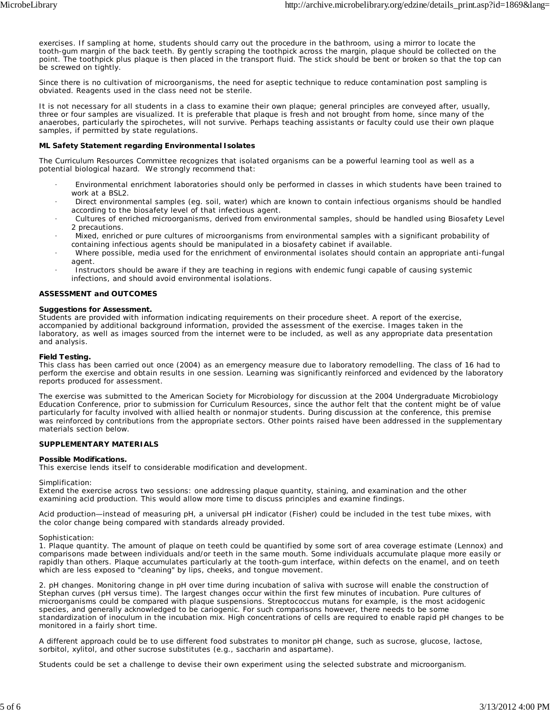exercises. If sampling at home, students should carry out the procedure in the bathroom, using a mirror to locate the tooth-gum margin of the back teeth. By gently scraping the toothpick across the margin, plaque should be collected on the point. The toothpick plus plaque is then placed in the transport fluid. The stick should be bent or broken so that the top can be screwed on tightly.

Since there is no cultivation of microorganisms, the need for aseptic technique to reduce contamination post sampling is obviated. Reagents used in the class need not be sterile.

It is not necessary for all students in a class to examine their own plaque; general principles are conveyed after, usually, three or four samples are visualized. It is preferable that plaque is fresh and not brought from home, since many of the anaerobes, particularly the spirochetes, will not survive. Perhaps teaching assistants or faculty could use their own plaque samples, if permitted by state regulations.

#### **ML Safety Statement regarding Environmental Isolates**

The Curriculum Resources Committee recognizes that isolated organisms can be a powerful learning tool as well as a potential biological hazard. We strongly recommend that:

- · Environmental enrichment laboratories should only be performed in classes in which students have been trained to work at a BSL2.
- · Direct environmental samples (eg. soil, water) which are known to contain infectious organisms should be handled according to the biosafety level of that infectious agent.
- · Cultures of enriched microorganisms, derived from environmental samples, should be handled using Biosafety Level 2 precautions.
- · Mixed, enriched or pure cultures of microorganisms from environmental samples with a significant probability of containing infectious agents should be manipulated in a biosafety cabinet if available.
- · Where possible, media used for the enrichment of environmental isolates should contain an appropriate anti-fungal agent.
- Instructors should be aware if they are teaching in regions with endemic fungi capable of causing systemic infections, and should avoid environmental isolations.

### **ASSESSMENT and OUTCOMES**

#### **Suggestions for Assessment.**

Students are provided with information indicating requirements on their procedure sheet. A report of the exercise, accompanied by additional background information, provided the assessment of the exercise. Images taken in the laboratory, as well as images sourced from the internet were to be included, as well as any appropriate data presentation and analysis.

#### **Field Testing.**

This class has been carried out once (2004) as an emergency measure due to laboratory remodelling. The class of 16 had to perform the exercise and obtain results in one session. Learning was significantly reinforced and evidenced by the laboratory reports produced for assessment.

The exercise was submitted to the American Society for Microbiology for discussion at the 2004 Undergraduate Microbiology Education Conference, prior to submission for Curriculum Resources, since the author felt that the content might be of value particularly for faculty involved with allied health or nonmajor students. During discussion at the conference, this premise was reinforced by contributions from the appropriate sectors. Other points raised have been addressed in the supplementary materials section below.

#### **SUPPLEMENTARY MATERIALS**

#### **Possible Modifications.**

This exercise lends itself to considerable modification and development.

#### *Simplification:*

Extend the exercise across two sessions: one addressing plaque quantity, staining, and examination and the other examining acid production. This would allow more time to discuss principles and examine findings.

Acid production—instead of measuring pH, a universal pH indicator (Fisher) could be included in the test tube mixes, with the color change being compared with standards already provided.

#### *Sophistication:*

1. Plaque quantity. The amount of plaque on teeth could be quantified by some sort of area coverage estimate (Lennox) and comparisons made between individuals and/or teeth in the same mouth. Some individuals accumulate plaque more easily or rapidly than others. Plaque accumulates particularly at the tooth-gum interface, within defects on the enamel, and on teeth which are less exposed to "cleaning" by lips, cheeks, and tongue movement.

2. pH changes. Monitoring change in pH over time during incubation of saliva with sucrose will enable the construction of Stephan curves (pH versus time). The largest changes occur within the first few minutes of incubation. Pure cultures of microorganisms could be compared with plaque suspensions. *Streptococcus mutans* for example, is the most acidogenic species, and generally acknowledged to be cariogenic. For such comparisons however, there needs to be some standardization of inoculum in the incubation mix. High concentrations of cells are required to enable rapid pH changes to be monitored in a fairly short time.

A different approach could be to use different food substrates to monitor pH change, such as sucrose, glucose, lactose, sorbitol, xylitol, and other sucrose substitutes (e.g., saccharin and aspartame).

Students could be set a challenge to devise their own experiment using the selected substrate and microorganism.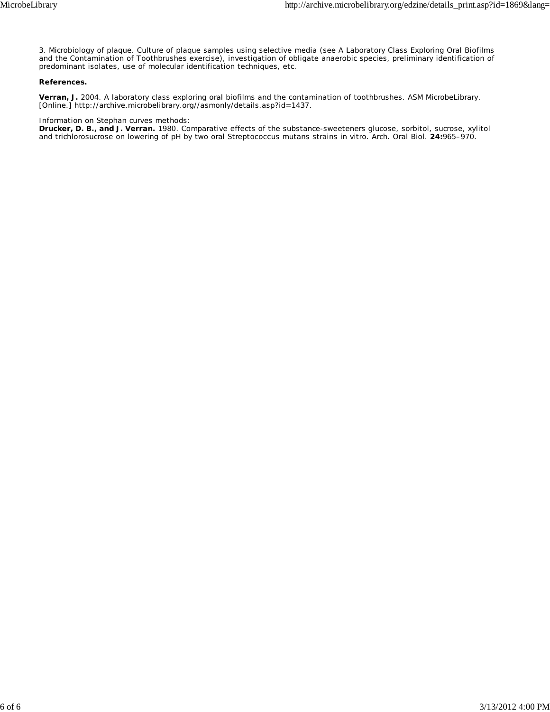3. Microbiology of plaque. Culture of plaque samples using selective media (see *A Laboratory Class Exploring Oral Biofilms and the Contamination of Toothbrushes* exercise), investigation of obligate anaerobic species, preliminary identification of predominant isolates, use of molecular identification techniques, etc.

## **References.**

**Verran, J.** 2004. A laboratory class exploring oral biofilms and the contamination of toothbrushes. ASM MicrobeLibrary. [Online.] http://archive.microbelibrary.org//asmonly/details.asp?id=1437.

#### Information on Stephan curves methods:

**Drucker, D. B., and J. Verran.** 1980. Comparative effects of the substance-sweeteners glucose, sorbitol, sucrose, xylitol and trichlorosucrose on lowering of pH by two oral *Streptococcus mutans* strains in vitro. Arch. Oral Biol. **24:**965–970.